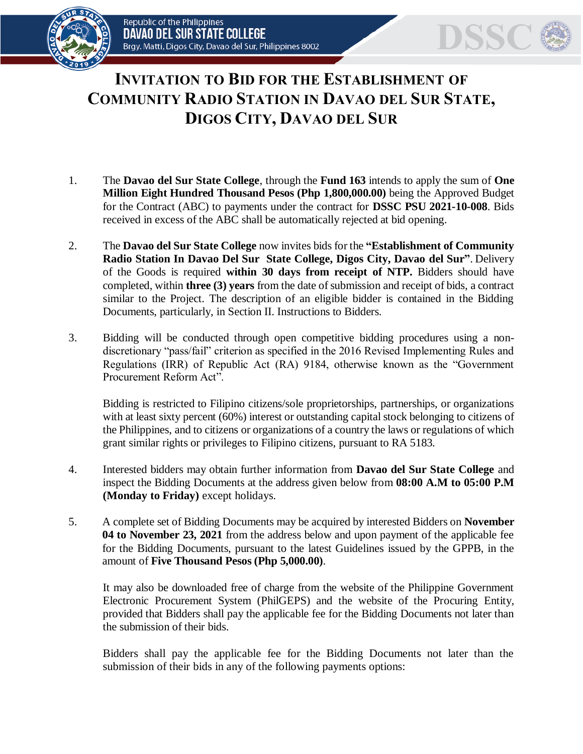

## **INVITATION TO BID FOR THE ESTABLISHMENT OF COMMUNITY RADIO STATION IN DAVAO DEL SUR STATE, DIGOS CITY, DAVAO DEL SUR**

- 1. The **Davao del Sur State College**, through the **Fund 163** intends to apply the sum of **One Million Eight Hundred Thousand Pesos (Php 1,800,000.00)** being the Approved Budget for the Contract (ABC) to payments under the contract for **DSSC PSU 2021-10-008**. Bids received in excess of the ABC shall be automatically rejected at bid opening.
- 2. The **Davao del Sur State College** now invites bids for the **"Establishment of Community Radio Station In Davao Del Sur State College, Digos City, Davao del Sur"**. Delivery of the Goods is required **within 30 days from receipt of NTP.** Bidders should have completed, within **three (3) years** from the date of submission and receipt of bids, a contract similar to the Project. The description of an eligible bidder is contained in the Bidding Documents, particularly, in Section II. Instructions to Bidders.
- 3. Bidding will be conducted through open competitive bidding procedures using a nondiscretionary "pass/fail" criterion as specified in the 2016 Revised Implementing Rules and Regulations (IRR) of Republic Act (RA) 9184, otherwise known as the "Government Procurement Reform Act".

Bidding is restricted to Filipino citizens/sole proprietorships, partnerships, or organizations with at least sixty percent (60%) interest or outstanding capital stock belonging to citizens of the Philippines, and to citizens or organizations of a country the laws or regulations of which grant similar rights or privileges to Filipino citizens, pursuant to RA 5183.

- 4. Interested bidders may obtain further information from **Davao del Sur State College** and inspect the Bidding Documents at the address given below from **08:00 A.M to 05:00 P.M (Monday to Friday)** except holidays.
- 5. A complete set of Bidding Documents may be acquired by interested Bidders on **November 04 to November 23, 2021** from the address below and upon payment of the applicable fee for the Bidding Documents, pursuant to the latest Guidelines issued by the GPPB, in the amount of **Five Thousand Pesos (Php 5,000.00)**.

It may also be downloaded free of charge from the website of the Philippine Government Electronic Procurement System (PhilGEPS) and the website of the Procuring Entity*,*  provided that Bidders shall pay the applicable fee for the Bidding Documents not later than the submission of their bids.

Bidders shall pay the applicable fee for the Bidding Documents not later than the submission of their bids in any of the following payments options: